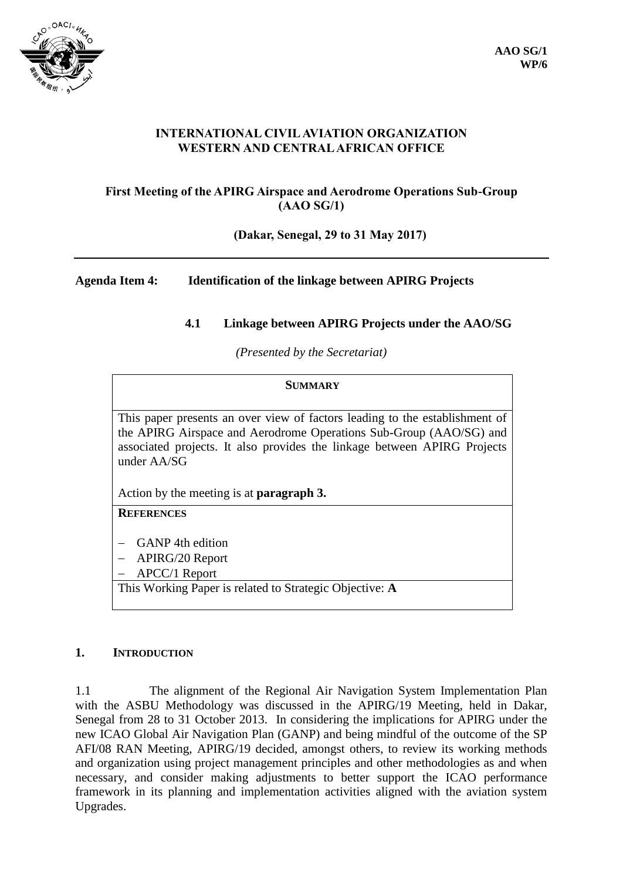

# **INTERNATIONAL CIVIL AVIATION ORGANIZATION WESTERN AND CENTRAL AFRICAN OFFICE**

# **First Meeting of the APIRG Airspace and Aerodrome Operations Sub-Group (AAO SG/1)**

**(Dakar, Senegal, 29 to 31 May 2017)**

# **Agenda Item 4: Identification of the linkage between APIRG Projects**

# **4.1 Linkage between APIRG Projects under the AAO/SG**

*(Presented by the Secretariat)*

#### **SUMMARY**

This paper presents an over view of factors leading to the establishment of the APIRG Airspace and Aerodrome Operations Sub-Group (AAO/SG) and associated projects. It also provides the linkage between APIRG Projects under AA/SG

Action by the meeting is at **paragraph 3.**

# **REFERENCES**

GANP 4th edition

APIRG/20 Report

APCC/1 Report

This Working Paper is related to Strategic Objective: **A**

#### **1. INTRODUCTION**

1.1 The alignment of the Regional Air Navigation System Implementation Plan with the ASBU Methodology was discussed in the APIRG/19 Meeting, held in Dakar, Senegal from 28 to 31 October 2013. In considering the implications for APIRG under the new ICAO Global Air Navigation Plan (GANP) and being mindful of the outcome of the SP AFI/08 RAN Meeting, APIRG/19 decided, amongst others, to review its working methods and organization using project management principles and other methodologies as and when necessary, and consider making adjustments to better support the ICAO performance framework in its planning and implementation activities aligned with the aviation system Upgrades.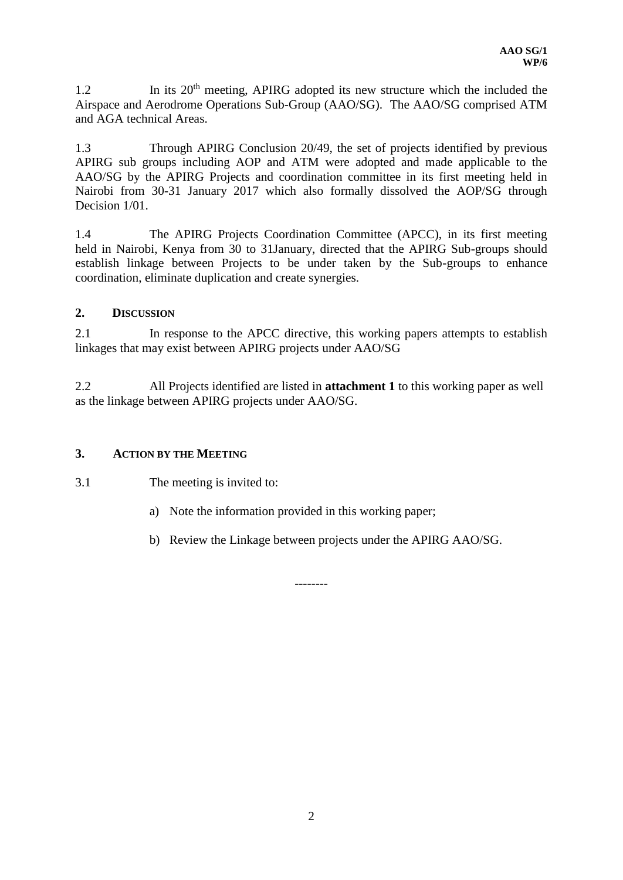1.2 In its 20<sup>th</sup> meeting, APIRG adopted its new structure which the included the Airspace and Aerodrome Operations Sub-Group (AAO/SG). The AAO/SG comprised ATM and AGA technical Areas.

1.3 Through APIRG Conclusion 20/49, the set of projects identified by previous APIRG sub groups including AOP and ATM were adopted and made applicable to the AAO/SG by the APIRG Projects and coordination committee in its first meeting held in Nairobi from 30-31 January 2017 which also formally dissolved the AOP/SG through Decision  $1/01$ .

1.4 The APIRG Projects Coordination Committee (APCC), in its first meeting held in Nairobi, Kenya from 30 to 31January, directed that the APIRG Sub-groups should establish linkage between Projects to be under taken by the Sub-groups to enhance coordination, eliminate duplication and create synergies.

#### **2. DISCUSSION**

2.1 In response to the APCC directive, this working papers attempts to establish linkages that may exist between APIRG projects under AAO/SG

2.2 All Projects identified are listed in **attachment 1** to this working paper as well as the linkage between APIRG projects under AAO/SG.

### **3. ACTION BY THE MEETING**

3.1 The meeting is invited to:

- a) Note the information provided in this working paper;
- b) Review the Linkage between projects under the APIRG AAO/SG.

--------

2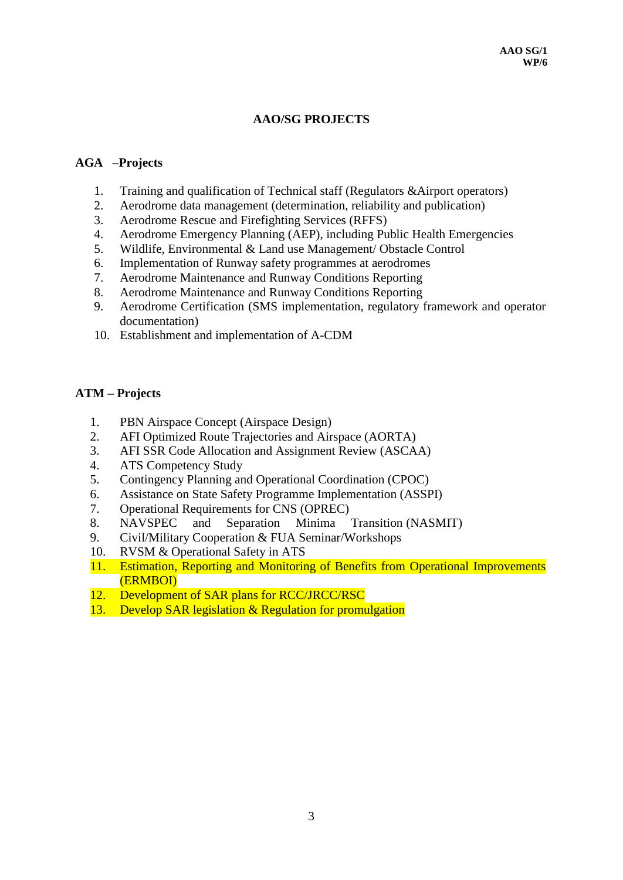# **AAO/SG PROJECTS**

#### **AGA –Projects**

- 1. Training and qualification of Technical staff (Regulators &Airport operators)
- 2. Aerodrome data management (determination, reliability and publication)
- 3. Aerodrome Rescue and Firefighting Services (RFFS)
- 4. Aerodrome Emergency Planning (AEP), including Public Health Emergencies
- 5. Wildlife, Environmental & Land use Management/ Obstacle Control
- 6. Implementation of Runway safety programmes at aerodromes
- 7. Aerodrome Maintenance and Runway Conditions Reporting
- 8. Aerodrome Maintenance and Runway Conditions Reporting
- 9. Aerodrome Certification (SMS implementation, regulatory framework and operator documentation)
- 10. Establishment and implementation of A-CDM

#### **ATM – Projects**

- 1. PBN Airspace Concept (Airspace Design)
- 2. AFI Optimized Route Trajectories and Airspace (AORTA)
- 3. AFI SSR Code Allocation and Assignment Review (ASCAA)
- 4. ATS Competency Study
- 5. Contingency Planning and Operational Coordination (CPOC)
- 6. Assistance on State Safety Programme Implementation (ASSPI)
- 7. Operational Requirements for CNS (OPREC)
- 8. NAVSPEC and Separation Minima Transition (NASMIT)
- 9. Civil/Military Cooperation & FUA Seminar/Workshops
- 10. RVSM & Operational Safety in ATS
- 11. Estimation, Reporting and Monitoring of Benefits from Operational Improvements (ERMBOI)
- 12. Development of SAR plans for RCC/JRCC/RSC
- 13. Develop SAR legislation & Regulation for promulgation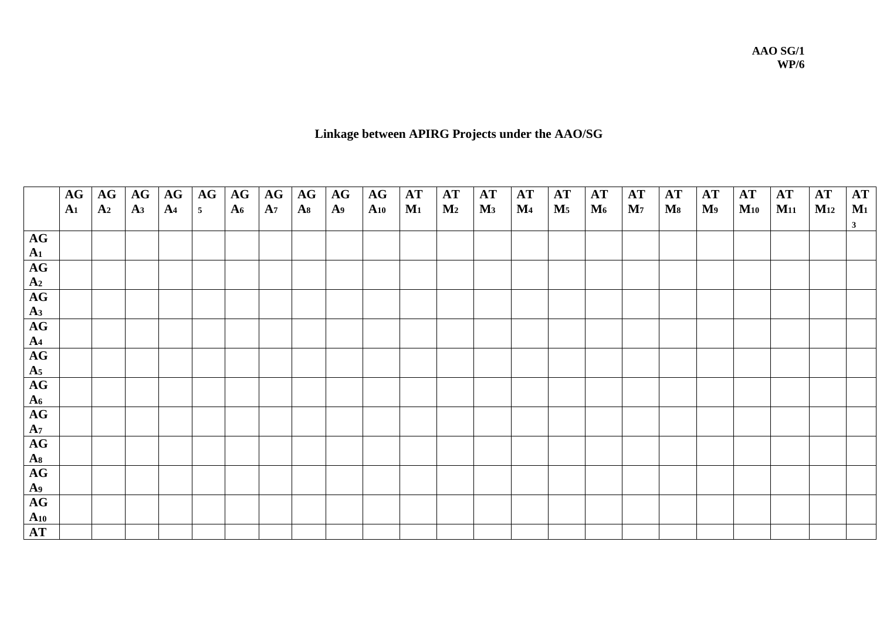**AAO SG/1 WP/6**

# **Linkage between APIRG Projects under the AAO/SG**

|                | AG             | AG             | AG             | AG             | AG             | AG             | AG             | AG    | AG             | AG       | AT             | AT             | AT    | $\bf AT$       | AT             | AT             | AT             | AT             | AT             | AT       | $\bf AT$ | $\bf AT$ | <b>AT</b>    |
|----------------|----------------|----------------|----------------|----------------|----------------|----------------|----------------|-------|----------------|----------|----------------|----------------|-------|----------------|----------------|----------------|----------------|----------------|----------------|----------|----------|----------|--------------|
|                | A <sub>1</sub> | A <sub>2</sub> | A <sub>3</sub> | A <sub>4</sub> | 5 <sup>5</sup> | A <sub>6</sub> | A <sub>7</sub> | $A_8$ | A <sub>9</sub> | $A_{10}$ | $\mathbf{M}_1$ | $\mathbf{M}_2$ | $M_3$ | $\mathbf{M}_4$ | $\mathbf{M}_5$ | $\mathbf{M}_6$ | $\mathbf{M}_7$ | $\mathbf{M}_8$ | M <sub>9</sub> | $M_{10}$ | $M_{11}$ | $M_{12}$ | $M_1$        |
|                |                |                |                |                |                |                |                |       |                |          |                |                |       |                |                |                |                |                |                |          |          |          | $\mathbf{3}$ |
| AG             |                |                |                |                |                |                |                |       |                |          |                |                |       |                |                |                |                |                |                |          |          |          |              |
| A <sub>1</sub> |                |                |                |                |                |                |                |       |                |          |                |                |       |                |                |                |                |                |                |          |          |          |              |
| AG             |                |                |                |                |                |                |                |       |                |          |                |                |       |                |                |                |                |                |                |          |          |          |              |
| A <sub>2</sub> |                |                |                |                |                |                |                |       |                |          |                |                |       |                |                |                |                |                |                |          |          |          |              |
| AG             |                |                |                |                |                |                |                |       |                |          |                |                |       |                |                |                |                |                |                |          |          |          |              |
| A <sub>3</sub> |                |                |                |                |                |                |                |       |                |          |                |                |       |                |                |                |                |                |                |          |          |          |              |
| AG             |                |                |                |                |                |                |                |       |                |          |                |                |       |                |                |                |                |                |                |          |          |          |              |
| A <sub>4</sub> |                |                |                |                |                |                |                |       |                |          |                |                |       |                |                |                |                |                |                |          |          |          |              |
| AG             |                |                |                |                |                |                |                |       |                |          |                |                |       |                |                |                |                |                |                |          |          |          |              |
| A <sub>5</sub> |                |                |                |                |                |                |                |       |                |          |                |                |       |                |                |                |                |                |                |          |          |          |              |
| AG             |                |                |                |                |                |                |                |       |                |          |                |                |       |                |                |                |                |                |                |          |          |          |              |
| A <sub>6</sub> |                |                |                |                |                |                |                |       |                |          |                |                |       |                |                |                |                |                |                |          |          |          |              |
| AG             |                |                |                |                |                |                |                |       |                |          |                |                |       |                |                |                |                |                |                |          |          |          |              |
| A <sub>7</sub> |                |                |                |                |                |                |                |       |                |          |                |                |       |                |                |                |                |                |                |          |          |          |              |
| AG             |                |                |                |                |                |                |                |       |                |          |                |                |       |                |                |                |                |                |                |          |          |          |              |
| A <sub>8</sub> |                |                |                |                |                |                |                |       |                |          |                |                |       |                |                |                |                |                |                |          |          |          |              |
| AG             |                |                |                |                |                |                |                |       |                |          |                |                |       |                |                |                |                |                |                |          |          |          |              |
| A <sub>9</sub> |                |                |                |                |                |                |                |       |                |          |                |                |       |                |                |                |                |                |                |          |          |          |              |
| AG             |                |                |                |                |                |                |                |       |                |          |                |                |       |                |                |                |                |                |                |          |          |          |              |
| $A_{10}$       |                |                |                |                |                |                |                |       |                |          |                |                |       |                |                |                |                |                |                |          |          |          |              |
| AT             |                |                |                |                |                |                |                |       |                |          |                |                |       |                |                |                |                |                |                |          |          |          |              |